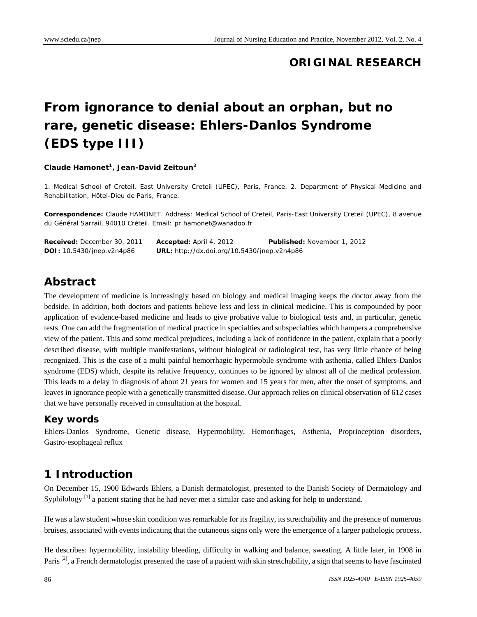## **ORIGINAL RESEARCH**

# **From ignorance to denial about an orphan, but no rare, genetic disease: Ehlers-Danlos Syndrome (EDS type III)**

#### **Claude Hamonet<sup>1</sup>, Jean-David Zeitoun<sup>2</sup>**

1. Medical School of Creteil, East University Creteil (UPEC), Paris, France. 2. Department of Physical Medicine and Rehabilitation, Hôtel-Dieu de Paris, France.

**Correspondence:** Claude HAMONET. Address: Medical School of Creteil, Paris-East University Creteil (UPEC), 8 avenue du Général Sarrail, 94010 Créteil. Email: pr.hamonet@wanadoo.fr

| <b>Received:</b> December 30, 2011 | <b>Accepted:</b> April 4, 2012                     | <b>Published:</b> November 1, 2012 |
|------------------------------------|----------------------------------------------------|------------------------------------|
| <b>DOI:</b> 10.5430/jnep.v2n4p86   | <b>URL:</b> http://dx.doi.org/10.5430/jnep.v2n4p86 |                                    |

## **Abstract**

The development of medicine is increasingly based on biology and medical imaging keeps the doctor away from the bedside. In addition, both doctors and patients believe less and less in clinical medicine. This is compounded by poor application of evidence-based medicine and leads to give probative value to biological tests and, in particular, genetic tests. One can add the fragmentation of medical practice in specialties and subspecialties which hampers a comprehensive view of the patient. This and some medical prejudices, including a lack of confidence in the patient, explain that a poorly described disease, with multiple manifestations, without biological or radiological test, has very little chance of being recognized. This is the case of a multi painful hemorrhagic hypermobile syndrome with asthenia, called Ehlers-Danlos syndrome (EDS) which, despite its relative frequency, continues to be ignored by almost all of the medical profession. This leads to a delay in diagnosis of about 21 years for women and 15 years for men, after the onset of symptoms, and leaves in ignorance people with a genetically transmitted disease. Our approach relies on clinical observation of 612 cases that we have personally received in consultation at the hospital.

#### **Key words**

Ehlers-Danlos Syndrome, Genetic disease, Hypermobility, Hemorrhages, Asthenia, Proprioception disorders, Gastro-esophageal reflux

## **1 Introduction**

On December 15, 1900 Edwards Ehlers, a Danish dermatologist, presented to the Danish Society of Dermatology and Syphilology<sup>[1]</sup> a patient stating that he had never met a similar case and asking for help to understand.

He was a law student whose skin condition was remarkable for its fragility, its stretchability and the presence of numerous bruises, associated with events indicating that the cutaneous signs only were the emergence of a larger pathologic process.

He describes: hypermobility, instability bleeding, difficulty in walking and balance, sweating. A little later, in 1908 in Paris<sup>[2]</sup>, a French dermatologist presented the case of a patient with skin stretchability, a sign that seems to have fascinated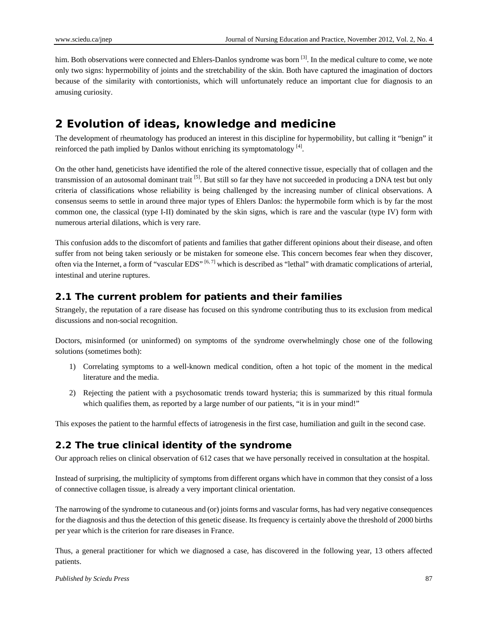him. Both observations were connected and Ehlers-Danlos syndrome was born <sup>[3]</sup>. In the medical culture to come, we note only two signs: hypermobility of joints and the stretchability of the skin. Both have captured the imagination of doctors because of the similarity with contortionists, which will unfortunately reduce an important clue for diagnosis to an amusing curiosity.

# **2 Evolution of ideas, knowledge and medicine**

The development of rheumatology has produced an interest in this discipline for hypermobility, but calling it "benign" it reinforced the path implied by Danlos without enriching its symptomatology  $^{[4]}$ .

On the other hand, geneticists have identified the role of the altered connective tissue, especially that of collagen and the transmission of an autosomal dominant trait <sup>[5]</sup>. But still so far they have not succeeded in producing a DNA test but only criteria of classifications whose reliability is being challenged by the increasing number of clinical observations. A consensus seems to settle in around three major types of Ehlers Danlos: the hypermobile form which is by far the most common one, the classical (type I-II) dominated by the skin signs, which is rare and the vascular (type IV) form with numerous arterial dilations, which is very rare.

This confusion adds to the discomfort of patients and families that gather different opinions about their disease, and often suffer from not being taken seriously or be mistaken for someone else. This concern becomes fear when they discover, often via the Internet, a form of "vascular EDS" <sup>[6, 7]</sup> which is described as "lethal" with dramatic complications of arterial, intestinal and uterine ruptures.

### **2.1 The current problem for patients and their families**

Strangely, the reputation of a rare disease has focused on this syndrome contributing thus to its exclusion from medical discussions and non-social recognition.

Doctors, misinformed (or uninformed) on symptoms of the syndrome overwhelmingly chose one of the following solutions (sometimes both):

- 1) Correlating symptoms to a well-known medical condition, often a hot topic of the moment in the medical literature and the media.
- 2) Rejecting the patient with a psychosomatic trends toward hysteria; this is summarized by this ritual formula which qualifies them, as reported by a large number of our patients, "it is in your mind!"

This exposes the patient to the harmful effects of iatrogenesis in the first case, humiliation and guilt in the second case.

## **2.2 The true clinical identity of the syndrome**

Our approach relies on clinical observation of 612 cases that we have personally received in consultation at the hospital.

Instead of surprising, the multiplicity of symptoms from different organs which have in common that they consist of a loss of connective collagen tissue, is already a very important clinical orientation.

The narrowing of the syndrome to cutaneous and (or) joints forms and vascular forms, has had very negative consequences for the diagnosis and thus the detection of this genetic disease. Its frequency is certainly above the threshold of 2000 births per year which is the criterion for rare diseases in France.

Thus, a general practitioner for which we diagnosed a case, has discovered in the following year, 13 others affected patients.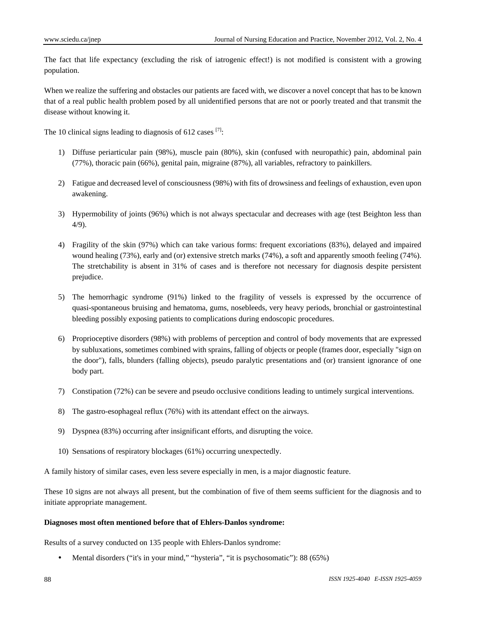The fact that life expectancy (excluding the risk of iatrogenic effect!) is not modified is consistent with a growing population.

When we realize the suffering and obstacles our patients are faced with, we discover a novel concept that has to be known that of a real public health problem posed by all unidentified persons that are not or poorly treated and that transmit the disease without knowing it.

The 10 clinical signs leading to diagnosis of 612 cases  $[7]$ :

- 1) Diffuse periarticular pain (98%), muscle pain (80%), skin (confused with neuropathic) pain, abdominal pain (77%), thoracic pain (66%), genital pain, migraine (87%), all variables, refractory to painkillers.
- 2) Fatigue and decreased level of consciousness (98%) with fits of drowsiness and feelings of exhaustion, even upon awakening.
- 3) Hypermobility of joints (96%) which is not always spectacular and decreases with age (test Beighton less than 4/9).
- 4) Fragility of the skin (97%) which can take various forms: frequent excoriations (83%), delayed and impaired wound healing (73%), early and (or) extensive stretch marks (74%), a soft and apparently smooth feeling (74%). The stretchability is absent in 31% of cases and is therefore not necessary for diagnosis despite persistent prejudice.
- 5) The hemorrhagic syndrome (91%) linked to the fragility of vessels is expressed by the occurrence of quasi-spontaneous bruising and hematoma, gums, nosebleeds, very heavy periods, bronchial or gastrointestinal bleeding possibly exposing patients to complications during endoscopic procedures.
- 6) Proprioceptive disorders (98%) with problems of perception and control of body movements that are expressed by subluxations, sometimes combined with sprains, falling of objects or people (frames door, especially "sign on the door"), falls, blunders (falling objects), pseudo paralytic presentations and (or) transient ignorance of one body part.
- 7) Constipation (72%) can be severe and pseudo occlusive conditions leading to untimely surgical interventions.
- 8) The gastro-esophageal reflux (76%) with its attendant effect on the airways.
- 9) Dyspnea (83%) occurring after insignificant efforts, and disrupting the voice.
- 10) Sensations of respiratory blockages (61%) occurring unexpectedly.

A family history of similar cases, even less severe especially in men, is a major diagnostic feature.

These 10 signs are not always all present, but the combination of five of them seems sufficient for the diagnosis and to initiate appropriate management.

#### **Diagnoses most often mentioned before that of Ehlers-Danlos syndrome:**

Results of a survey conducted on 135 people with Ehlers-Danlos syndrome:

Mental disorders ("it's in your mind," "hysteria", "it is psychosomatic"): 88 (65%)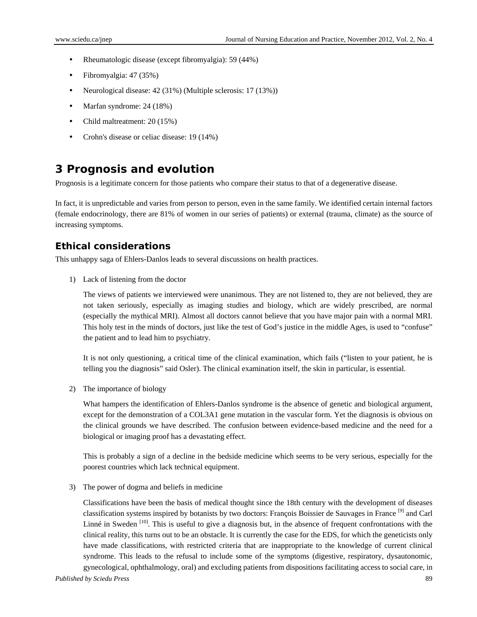- Rheumatologic disease (except fibromyalgia): 59 (44%)
- Fibromyalgia: 47 (35%)
- Neurological disease: 42 (31%) (Multiple sclerosis: 17 (13%))
- Marfan syndrome: 24 (18%)
- Child maltreatment: 20 (15%)
- Crohn's disease or celiac disease: 19 (14%)

## **3 Prognosis and evolution**

Prognosis is a legitimate concern for those patients who compare their status to that of a degenerative disease.

In fact, it is unpredictable and varies from person to person, even in the same family. We identified certain internal factors (female endocrinology, there are 81% of women in our series of patients) or external (trauma, climate) as the source of increasing symptoms.

### **Ethical considerations**

This unhappy saga of Ehlers-Danlos leads to several discussions on health practices.

1) Lack of listening from the doctor

The views of patients we interviewed were unanimous. They are not listened to, they are not believed, they are not taken seriously, especially as imaging studies and biology, which are widely prescribed, are normal (especially the mythical MRI). Almost all doctors cannot believe that you have major pain with a normal MRI. This holy test in the minds of doctors, just like the test of God's justice in the middle Ages, is used to "confuse" the patient and to lead him to psychiatry.

It is not only questioning, a critical time of the clinical examination, which fails ("listen to your patient, he is telling you the diagnosis" said Osler). The clinical examination itself, the skin in particular, is essential.

2) The importance of biology

What hampers the identification of Ehlers-Danlos syndrome is the absence of genetic and biological argument, except for the demonstration of a COL3A1 gene mutation in the vascular form. Yet the diagnosis is obvious on the clinical grounds we have described. The confusion between evidence-based medicine and the need for a biological or imaging proof has a devastating effect.

This is probably a sign of a decline in the bedside medicine which seems to be very serious, especially for the poorest countries which lack technical equipment.

3) The power of dogma and beliefs in medicine

Classifications have been the basis of medical thought since the 18th century with the development of diseases classification systems inspired by botanists by two doctors: François Boissier de Sauvages in France [9] and Carl Linné in Sweden  $[10]$ . This is useful to give a diagnosis but, in the absence of frequent confrontations with the clinical reality, this turns out to be an obstacle. It is currently the case for the EDS, for which the geneticists only have made classifications, with restricted criteria that are inappropriate to the knowledge of current clinical syndrome. This leads to the refusal to include some of the symptoms (digestive, respiratory, dysautonomic, gynecological, ophthalmology, oral) and excluding patients from dispositions facilitating access to social care, in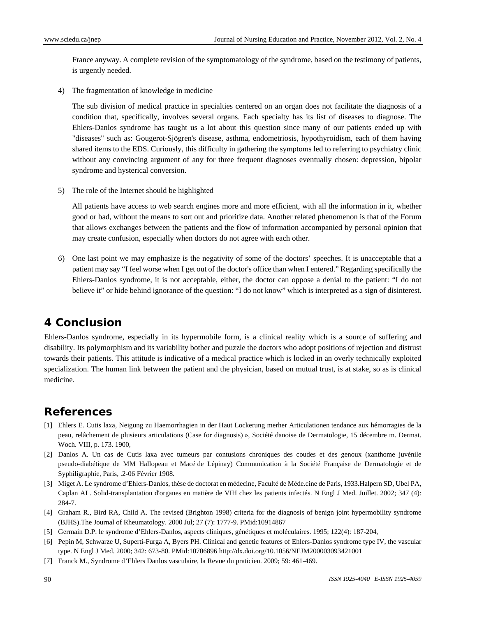France anyway. A complete revision of the symptomatology of the syndrome, based on the testimony of patients, is urgently needed.

4) The fragmentation of knowledge in medicine

The sub division of medical practice in specialties centered on an organ does not facilitate the diagnosis of a condition that, specifically, involves several organs. Each specialty has its list of diseases to diagnose. The Ehlers-Danlos syndrome has taught us a lot about this question since many of our patients ended up with "diseases" such as: Gougerot-Sjögren's disease, asthma, endometriosis, hypothyroidism, each of them having shared items to the EDS. Curiously, this difficulty in gathering the symptoms led to referring to psychiatry clinic without any convincing argument of any for three frequent diagnoses eventually chosen: depression, bipolar syndrome and hysterical conversion.

5) The role of the Internet should be highlighted

All patients have access to web search engines more and more efficient, with all the information in it, whether good or bad, without the means to sort out and prioritize data. Another related phenomenon is that of the Forum that allows exchanges between the patients and the flow of information accompanied by personal opinion that may create confusion, especially when doctors do not agree with each other.

6) One last point we may emphasize is the negativity of some of the doctors' speeches. It is unacceptable that a patient may say "I feel worse when I get out of the doctor's office than when I entered." Regarding specifically the Ehlers-Danlos syndrome, it is not acceptable, either, the doctor can oppose a denial to the patient: "I do not believe it" or hide behind ignorance of the question: "I do not know" which is interpreted as a sign of disinterest.

## **4 Conclusion**

Ehlers-Danlos syndrome, especially in its hypermobile form, is a clinical reality which is a source of suffering and disability. Its polymorphism and its variability bother and puzzle the doctors who adopt positions of rejection and distrust towards their patients. This attitude is indicative of a medical practice which is locked in an overly technically exploited specialization. The human link between the patient and the physician, based on mutual trust, is at stake, so as is clinical medicine.

## **References**

- [1] Ehlers E. Cutis laxa, Neigung zu Haemorrhagien in der Haut Lockerung merher Articulationen tendance aux hémorragies de la peau, relâchement de plusieurs articulations (Case for diagnosis) », Société danoise de Dermatologie, 15 décembre m. Dermat. Woch. VIII, p. 173. 1900,
- [2] Danlos A. Un cas de Cutis laxa avec tumeurs par contusions chroniques des coudes et des genoux (xanthome juvénile pseudo-diabétique de MM Hallopeau et Macé de Lépinay) Communication à la Société Française de Dermatologie et de Syphiligraphie, Paris, .2-06 Février 1908.
- [3] Miget A. Le syndrome d'Ehlers-Danlos, thèse de doctorat en médecine, Faculté de Méde.cine de Paris, 1933.Halpern SD, Ubel PA, Caplan AL. Solid-transplantation d'organes en matière de VIH chez les patients infectés. N Engl J Med. Juillet. 2002; 347 (4): 284-7.
- [4] Graham R., Bird RA, Child A. The revised (Brighton 1998) criteria for the diagnosis of benign joint hypermobility syndrome (BJHS).The Journal of Rheumatology. 2000 Jul; 27 (7): 1777-9. PMid:10914867
- [5] Germain D.P. le syndrome d'Ehlers-Danlos, aspects cliniques, génétiques et moléculaires. 1995; 122(4): 187-204,
- [6] Pepin M, Schwarze U, Superti-Furga A, Byers PH. Clinical and genetic features of Ehlers-Danlos syndrome type IV, the vascular type. N Engl J Med. 2000; 342: 673-80. PMid:10706896 http://dx.doi.org/10.1056/NEJM200003093421001
- [7] Franck M., Syndrome d'Ehlers Danlos vasculaire, la Revue du praticien. 2009; 59: 461-469.